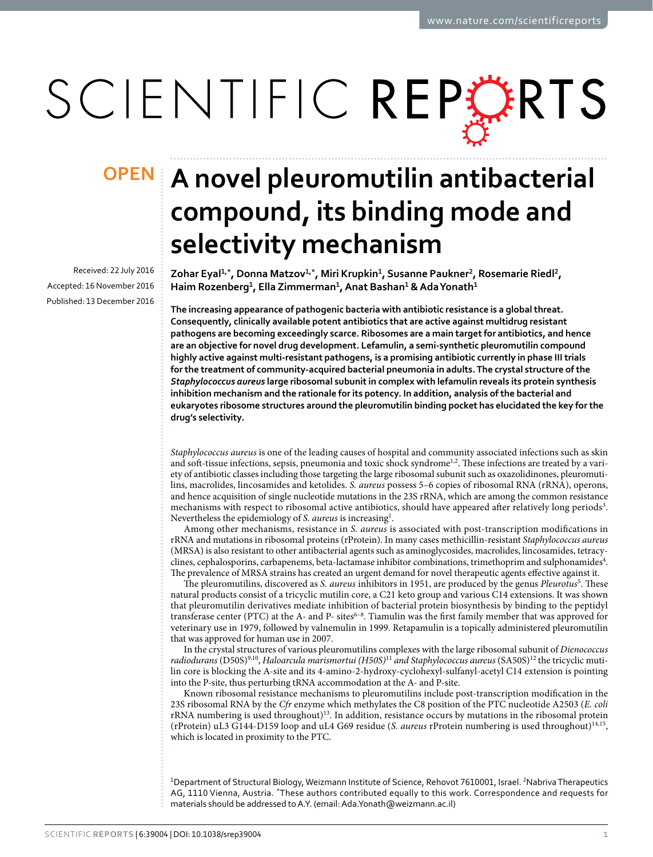# SCIENTIFIC REPERTS

Received: 22 July 2016 accepted: 16 November 2016 Published: 13 December 2016

## **OPEN** A novel pleuromutilin antibacterial **compound, its binding mode and selectivity mechanism**

**Zohar Eyal<sup>1</sup>,\*, Donna Matzov<sup>1</sup>,\*, Miri Krupkin<sup>1</sup>, Susanne Paukner<sup>2</sup>, Rosemarie Riedl<sup>2</sup>, Haim Rozenberg<sup>1</sup>, Ella Zimmerman<sup>1</sup>, Anat Bashan<sup>1</sup> & AdaYonath<sup>1</sup>**

**The increasing appearance of pathogenic bacteria with antibiotic resistance is a global threat. Consequently, clinically available potent antibiotics that are active against multidrug resistant pathogens are becoming exceedingly scarce. Ribosomes are a main target for antibiotics, and hence are an objective for novel drug development. Lefamulin, a semi-synthetic pleuromutilin compound highly active against multi-resistant pathogens, is a promising antibiotic currently in phase III trials for the treatment of community-acquired bacterial pneumonia in adults. The crystal structure of the**  *Staphylococcus aureus* **large ribosomal subunit in complex with lefamulin reveals its protein synthesis inhibition mechanism and the rationale for its potency. In addition, analysis of the bacterial and eukaryotes ribosome structures around the pleuromutilin binding pocket has elucidated the key for the drug's selectivity.**

*Staphylococcus aureus* is one of the leading causes of hospital and community associated infections such as skin and soft-tissue infections, sepsis, pneumonia and toxic shock syndrome<sup>[1,](#page-5-0)2</sup>. These infections are treated by a variety of antibiotic classes including those targeting the large ribosomal subunit such as oxazolidinones, pleuromutilins, macrolides, lincosamides and ketolides. *S. aureus* possess 5–6 copies of ribosomal RNA (rRNA), operons, and hence acquisition of single nucleotide mutations in the 23S rRNA, which are among the common resistance mechanisms with respect to ribosomal active antibiotics, should have appeared after relatively long periods<sup>[3](#page-6-0)</sup>. Nevertheless the epidemiology of *S. aureus* is increasing<sup>1</sup>.

Among other mechanisms, resistance in *S. aureus* is associated with post-transcription modifications in rRNA and mutations in ribosomal proteins (rProtein). In many cases methicillin-resistant *Staphylococcus aureus* (MRSA) is also resistant to other antibacterial agents such as aminoglycosides, macrolides, lincosamides, tetracy-clines, cephalosporins, carbapenems, beta-lactamase inhibitor combinations, trimethoprim and sulphonamides<sup>[4](#page-6-1)</sup>. The prevalence of MRSA strains has created an urgent demand for novel therapeutic agents effective against it.

The pleuromutilins, discovered as *S. aureus* inhibitors in 19[5](#page-6-2)1, are produced by the genus *Pleurotus*<sup>5</sup>. These natural products consist of a tricyclic mutilin core, a C21 keto group and various C14 extensions. It was shown that pleuromutilin derivatives mediate inhibition of bacterial protein biosynthesis by binding to the peptidyl transferase center (PTC) at the A- and P- sites<sup>6-8</sup>. Tiamulin was the first family member that was approved for veterinary use in 1979, followed by valnemulin in 1999. Retapamulin is a topically administered pleuromutilin that was approved for human use in 2007.

In the crystal structures of various pleuromutilins complexes with the large ribosomal subunit of *Dienococcus radiodurans* (D50S)[9,](#page-6-4)[10,](#page-6-5) *Haloarcula marismortui (H50S)*[11](#page-6-6) *and Staphylococcus aureus* (SA50S[\)12](#page-6-7) the tricyclic mutilin core is blocking the A-site and its 4-amino-2-hydroxy-cyclohexyl-sulfanyl-acetyl C14 extension is pointing into the P-site, thus perturbing tRNA accommodation at the A- and P-site.

Known ribosomal resistance mechanisms to pleuromutilins include post-transcription modification in the 23S ribosomal RNA by the *Cfr* enzyme which methylates the C8 position of the PTC nucleotide A2503 (*E. coli* rRNA numbering is used throughout)[13.](#page-6-8) In addition, resistance occurs by mutations in the ribosomal protein (rProtein) uL3 G144-D159 loop and uL4 G69 residue (*S. aureus* rProtein numbering is used throughout)[14](#page-6-9),[15,](#page-6-10) which is located in proximity to the PTC.

<sup>1</sup>Department of Structural Biology, Weizmann Institute of Science, Rehovot 7610001, Israel. <sup>2</sup>Nabriva Therapeutics AG, 1110 Vienna, Austria. \*These authors contributed equally to this work. Correspondence and requests for materials should be addressed to A.Y. (email: [Ada.Yonath@weizmann.ac.il](mailto:Ada.Yonath@weizmann.ac.il))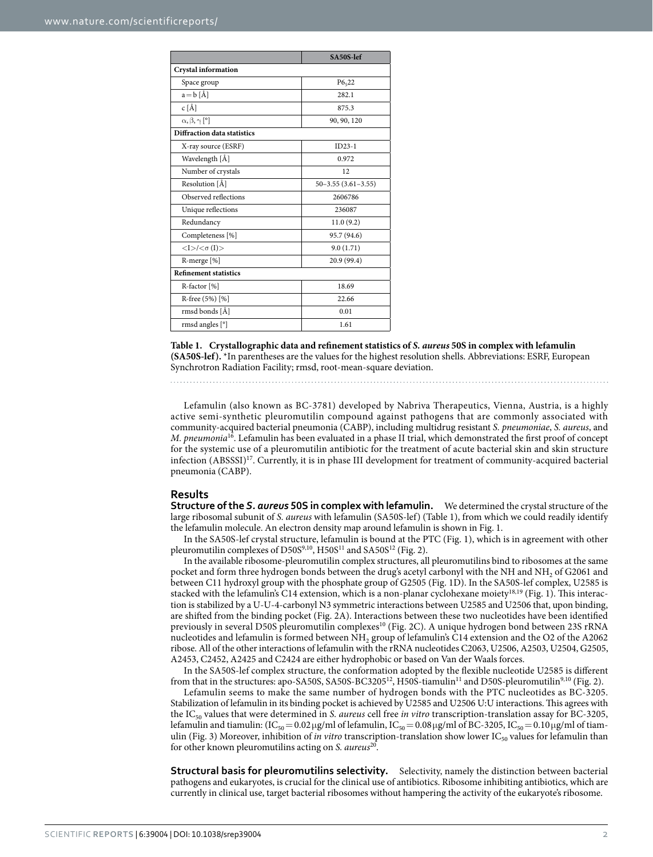<span id="page-1-0"></span>

|                                                 | SA50S-lef                |
|-------------------------------------------------|--------------------------|
| <b>Crystal information</b>                      |                          |
| Space group                                     | P6522                    |
| $a = b \hat{[A]}$                               | 282.1                    |
| $c \hat{A}$                                     | 875.3                    |
| $\alpha, \beta, \gamma$ [°]                     | 90, 90, 120              |
| Diffraction data statistics                     |                          |
| X-ray source (ESRF)                             | $ID23-1$                 |
| Wavelength [Å]                                  | 0.972                    |
| Number of crystals                              | 12                       |
| Resolution [Å]                                  | $50 - 3.55(3.61 - 3.55)$ |
| Observed reflections                            | 2606786                  |
| Unique reflections                              | 236087                   |
| Redundancy                                      | 11.0(9.2)                |
| Completeness [%]                                | 95.7 (94.6)              |
| $\langle I \rangle / \langle \sigma(I) \rangle$ | 9.0(1.71)                |
| R-merge [%]                                     | 20.9 (99.4)              |
| <b>Refinement statistics</b>                    |                          |
| R-factor [%]                                    | 18.69                    |
| R-free (5%) [%]                                 | 22.66                    |
| rmsd bonds [Å]                                  | 0.01                     |
| rmsd angles [°]                                 | 1.61                     |

**Table 1. Crystallographic data and refinement statistics of** *S. aureus* **50S in complex with lefamulin (SA50S-lef).** \*In parentheses are the values for the highest resolution shells. Abbreviations: ESRF, European Synchrotron Radiation Facility; rmsd, root-mean-square deviation.

Lefamulin (also known as BC-3781) developed by Nabriva Therapeutics, Vienna, Austria, is a highly active semi-synthetic pleuromutilin compound against pathogens that are commonly associated with community-acquired bacterial pneumonia (CABP), including multidrug resistant *S. pneumoniae*, *S. aureus*, and *M. pneumonia*[16](#page-6-11). Lefamulin has been evaluated in a phase II trial, which demonstrated the first proof of concept for the systemic use of a pleuromutilin antibiotic for the treatment of acute bacterial skin and skin structure infection (ABSSSI)[17.](#page-6-12) Currently, it is in phase III development for treatment of community-acquired bacterial pneumonia (CABP).

#### **Results**

**Structure of the** *S. aureus* **50S in complex with lefamulin.** We determined the crystal structure of the large ribosomal subunit of *S. aureus* with lefamulin (SA50S-lef) ([Table 1](#page-1-0)), from which we could readily identify the lefamulin molecule. An electron density map around lefamulin is shown in [Fig. 1.](#page-2-0)

In the SA50S-lef crystal structure, lefamulin is bound at the PTC [\(Fig. 1\)](#page-2-0), which is in agreement with other pleuromutilin complexes of D50S<sup>9[,10](#page-6-5)</sup>, H50S<sup>[11](#page-6-6)</sup> and SA50S<sup>12</sup> ([Fig. 2](#page-3-0)).

In the available ribosome-pleuromutilin complex structures, all pleuromutilins bind to ribosomes at the same pocket and form three hydrogen bonds between the drug's acetyl carbonyl with the NH and NH2 of G2061 and between C11 hydroxyl group with the phosphate group of G2505 ([Fig. 1D](#page-2-0)). In the SA50S-lef complex, U2585 is stacked with the lefamulin's C14 extension, which is a non-planar cyclohexane moiet[y18,](#page-6-13)[19](#page-6-14) ([Fig. 1\)](#page-2-0). This interaction is stabilized by a U-U-4-carbonyl N3 symmetric interactions between U2585 and U2506 that, upon binding, are shifted from the binding pocket [\(Fig. 2A\)](#page-3-0). Interactions between these two nucleotides have been identified previously in several D50S pleuromutilin complexes<sup>10</sup> ([Fig. 2C](#page-3-0)). A unique hydrogen bond between 23S rRNA nucleotides and lefamulin is formed between NH2 group of lefamulin's C14 extension and the O2 of the A2062 ribose. All of the other interactions of lefamulin with the rRNA nucleotides C2063, U2506, A2503, U2504, G2505, A2453, C2452, A2425 and C2424 are either hydrophobic or based on Van der Waals forces.

In the SA50S-lef complex structure, the conformation adopted by the flexible nucleotide U2585 is different from that in the structures: apo-SA50S, SA50S-BC3205<sup>12</sup>, H50S-tiamulin<sup>[11](#page-6-6)</sup> and D50S-pleuromutilin<sup>9,10</sup> ([Fig. 2\)](#page-3-0).

Lefamulin seems to make the same number of hydrogen bonds with the PTC nucleotides as BC-3205. Stabilization of lefamulin in its binding pocket is achieved by U2585 and U2506 U:U interactions. This agrees with the IC<sub>50</sub> values that were determined in *S. aureus* cell free *in vitro* transcription-translation assay for BC-3205, lefamulin and tiamulin:  $(IC_{50} = 0.02 \mu g/ml$  of lefamulin,  $IC_{50} = 0.08 \mu g/ml$  of BC-3205,  $IC_{50} = 0.10 \mu g/ml$  of tiam-ulin [\(Fig. 3](#page-4-0)) Moreover, inhibition of *in vitro* transcription-translation show lower IC<sub>50</sub> values for lefamulin than for other known pleuromutilins acting on *S. aureus*[20](#page-6-15).

**Structural basis for pleuromutilins selectivity.** Selectivity, namely the distinction between bacterial pathogens and eukaryotes, is crucial for the clinical use of antibiotics. Ribosome inhibiting antibiotics, which are currently in clinical use, target bacterial ribosomes without hampering the activity of the eukaryote's ribosome.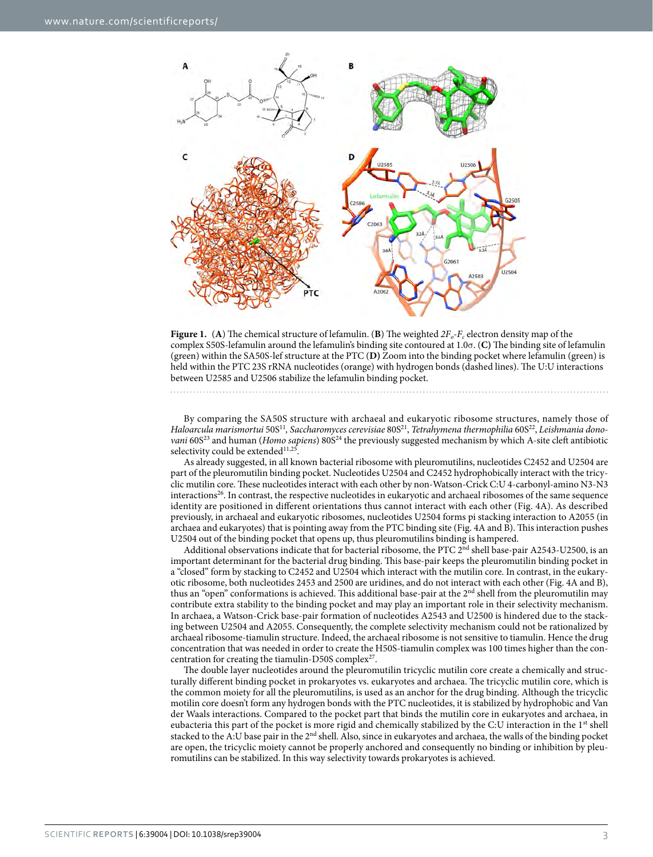

<span id="page-2-0"></span>**Figure 1.** (**A**) The chemical structure of lefamulin. (**B**) The weighted  $2F_o-F_c$  electron density map of the complex S50S-lefamulin around the lefamulin's binding site contoured at 1.0σ. (**C)** The binding site of lefamulin (green) within the SA50S-lef structure at the PTC (**D)** Zoom into the binding pocket where lefamulin (green) is held within the PTC 23S rRNA nucleotides (orange) with hydrogen bonds (dashed lines). The U:U interactions between U2585 and U2506 stabilize the lefamulin binding pocket.

By comparing the SA50S structure with archaeal and eukaryotic ribosome structures, namely those of *Haloarcula marismortui* 50[S11](#page-6-6)*, Saccharomyces cerevisiae* 80S[21](#page-6-16), *Tetrahymena thermophilia* 60[S22,](#page-6-17) *Leishmania donovani* 60S<sup>[23](#page-6-18)</sup> and human (*Homo sapiens*) 80S<sup>24</sup> the previously suggested mechanism by which A-site cleft antibiotic selectivity could be extended<sup>11,25</sup>.

As already suggested, in all known bacterial ribosome with pleuromutilins, nucleotides C2452 and U2504 are part of the pleuromutilin binding pocket. Nucleotides U2504 and C2452 hydrophobically interact with the tricyclic mutilin core. These nucleotides interact with each other by non-Watson-Crick C:U 4-carbonyl-amino N3-N3 interactions<sup>26</sup>. In contrast, the respective nucleotides in eukaryotic and archaeal ribosomes of the same sequence identity are positioned in different orientations thus cannot interact with each other [\(Fig. 4A](#page-4-1)). As described previously, in archaeal and eukaryotic ribosomes, nucleotides U2504 forms pi stacking interaction to A2055 (in archaea and eukaryotes) that is pointing away from the PTC binding site ([Fig. 4A](#page-4-1) and B). This interaction pushes U2504 out of the binding pocket that opens up, thus pleuromutilins binding is hampered.

Additional observations indicate that for bacterial ribosome, the PTC  $2<sup>nd</sup>$  shell base-pair A2543-U2500, is an important determinant for the bacterial drug binding. This base-pair keeps the pleuromutilin binding pocket in a "closed" form by stacking to C2452 and U2504 which interact with the mutilin core. In contrast, in the eukaryotic ribosome, both nucleotides 2453 and 2500 are uridines, and do not interact with each other [\(Fig. 4A](#page-4-1) and B), thus an "open" conformations is achieved. This additional base-pair at the 2<sup>nd</sup> shell from the pleuromutilin may contribute extra stability to the binding pocket and may play an important role in their selectivity mechanism. In archaea, a Watson-Crick base-pair formation of nucleotides A2543 and U2500 is hindered due to the stacking between U2504 and A2055. Consequently, the complete selectivity mechanism could not be rationalized by archaeal ribosome-tiamulin structure. Indeed, the archaeal ribosome is not sensitive to tiamulin. Hence the drug concentration that was needed in order to create the H50S-tiamulin complex was 100 times higher than the concentration for creating the tiamulin-D50S complex<sup>27</sup>.

The double layer nucleotides around the pleuromutilin tricyclic mutilin core create a chemically and structurally different binding pocket in prokaryotes vs. eukaryotes and archaea. The tricyclic mutilin core, which is the common moiety for all the pleuromutilins, is used as an anchor for the drug binding. Although the tricyclic motilin core doesn't form any hydrogen bonds with the PTC nucleotides, it is stabilized by hydrophobic and Van der Waals interactions. Compared to the pocket part that binds the mutilin core in eukaryotes and archaea, in eubacteria this part of the pocket is more rigid and chemically stabilized by the C:U interaction in the 1<sup>st</sup> shell stacked to the A:U base pair in the 2<sup>nd</sup> shell. Also, since in eukaryotes and archaea, the walls of the binding pocket are open, the tricyclic moiety cannot be properly anchored and consequently no binding or inhibition by pleuromutilins can be stabilized. In this way selectivity towards prokaryotes is achieved.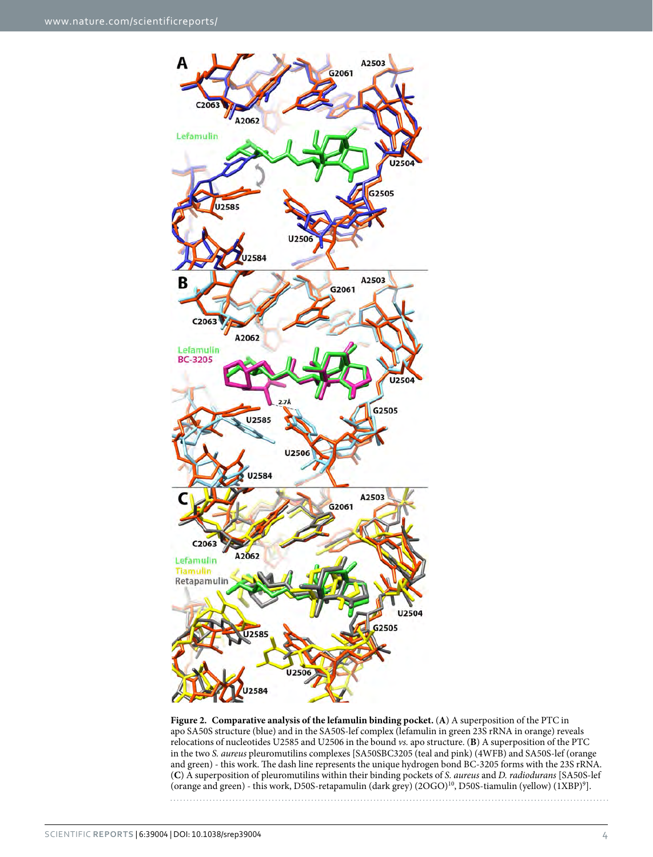

<span id="page-3-0"></span>**Figure 2. Comparative analysis of the lefamulin binding pocket.** (**A**) A superposition of the PTC in apo SA50S structure (blue) and in the SA50S-lef complex (lefamulin in green 23S rRNA in orange) reveals relocations of nucleotides U2585 and U2506 in the bound *vs.* apo structure. (**B**) A superposition of the PTC in the two *S. aureus* pleuromutilins complexes [SA50SBC3205 (teal and pink) (4WFB) and SA50S-lef (orange and green) - this work. The dash line represents the unique hydrogen bond BC-3205 forms with the 23S rRNA. (**C**) A superposition of pleuromutilins within their binding pockets of *S. aureus* and *D. radiodurans* [SA50S-lef (orange and green) - this work, D50S-retapamulin (dark grey) (2OGO)<sup>[10](#page-6-5)</sup>, D50S-tiamulin (yellow) (1XBP)<sup>9</sup>].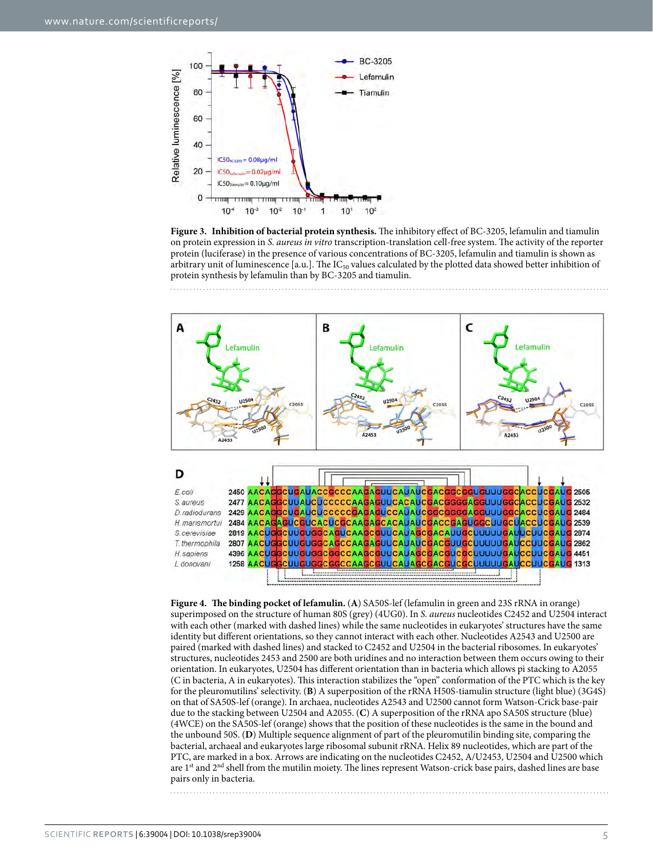

<span id="page-4-0"></span>**Figure 3. Inhibition of bacterial protein synthesis.** The inhibitory effect of BC-3205, lefamulin and tiamulin on protein expression in *S. aureus in vitro* transcription-translation cell-free system. The activity of the reporter protein (luciferase) in the presence of various concentrations of BC-3205, lefamulin and tiamulin is shown as arbitrary unit of luminescence [a.u.]. The  $IC_{50}$  values calculated by the plotted data showed better inhibition of protein synthesis by lefamulin than by BC-3205 and tiamulin.



<span id="page-4-1"></span>**Figure 4. The binding pocket of lefamulin.** (**A**) SA50S-lef (lefamulin in green and 23S rRNA in orange) superimposed on the structure of human 80S (grey) (4UG0). In *S. aureus* nucleotides C2452 and U2504 interact with each other (marked with dashed lines) while the same nucleotides in eukaryotes' structures have the same identity but different orientations, so they cannot interact with each other. Nucleotides A2543 and U2500 are paired (marked with dashed lines) and stacked to C2452 and U2504 in the bacterial ribosomes. In eukaryotes' structures, nucleotides 2453 and 2500 are both uridines and no interaction between them occurs owing to their orientation. In eukaryotes, U2504 has different orientation than in bacteria which allows pi stacking to A2055 (C in bacteria, A in eukaryotes). This interaction stabilizes the "open" conformation of the PTC which is the key for the pleuromutilins' selectivity. (**B**) A superposition of the rRNA H50S-tiamulin structure (light blue) (3G4S) on that of SA50S-lef (orange). In archaea, nucleotides A2543 and U2500 cannot form Watson-Crick base-pair due to the stacking between U2504 and A2055. (**C**) A superposition of the rRNA apo SA50S structure (blue) (4WCE) on the SA50S-lef (orange) shows that the position of these nucleotides is the same in the bound and the unbound 50S. (**D**) Multiple sequence alignment of part of the pleuromutilin binding site, comparing the bacterial, archaeal and eukaryotes large ribosomal subunit rRNA. Helix 89 nucleotides, which are part of the PTC, are marked in a box. Arrows are indicating on the nucleotides C2452, A/U2453, U2504 and U2500 which are 1<sup>st</sup> and 2<sup>nd</sup> shell from the mutilin moiety. The lines represent Watson-crick base pairs, dashed lines are base pairs only in bacteria.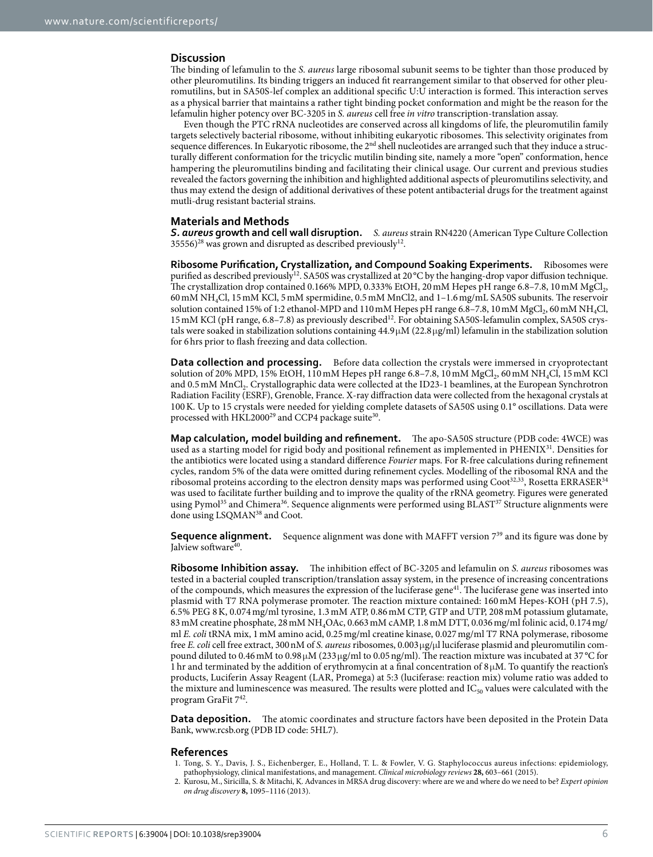#### **Discussion**

The binding of lefamulin to the *S. aureus* large ribosomal subunit seems to be tighter than those produced by other pleuromutilins. Its binding triggers an induced fit rearrangement similar to that observed for other pleuromutilins, but in SA50S-lef complex an additional specific U:U interaction is formed. This interaction serves as a physical barrier that maintains a rather tight binding pocket conformation and might be the reason for the lefamulin higher potency over BC-3205 in *S. aureus* cell free *in vitro* transcription-translation assay.

Even though the PTC rRNA nucleotides are conserved across all kingdoms of life, the pleuromutilin family targets selectively bacterial ribosome, without inhibiting eukaryotic ribosomes. This selectivity originates from sequence differences. In Eukaryotic ribosome, the 2<sup>nd</sup> shell nucleotides are arranged such that they induce a structurally different conformation for the tricyclic mutilin binding site, namely a more "open" conformation, hence hampering the pleuromutilins binding and facilitating their clinical usage. Our current and previous studies revealed the factors governing the inhibition and highlighted additional aspects of pleuromutilins selectivity, and thus may extend the design of additional derivatives of these potent antibacterial drugs for the treatment against mutli-drug resistant bacterial strains.

#### **Materials and Methods**

*S. aureus* **growth and cell wall disruption.** *S. aureus* strain RN4220 (American Type Culture Collection  $35556$ <sup>28</sup> was grown and disrupted as described previously<sup>12</sup>.

**Ribosome Purification, Crystallization, and Compound Soaking Experiments.** Ribosomes were purified as described previously<sup>[12](#page-6-7)</sup>. SA50S was crystallized at 20 °C by the hanging-drop vapor diffusion technique. The crystallization drop contained 0.166% MPD, 0.333% EtOH, 20 mM Hepes pH range  $6.8-7.8$ , 10 mM MgCl<sub>2</sub>, 60mM NH4Cl, 15mM KCl, 5mM spermidine, 0.5mM MnCl2, and 1–1.6mg/mL SA50S subunits. The reservoir solution contained 15% of 1:2 ethanol-MPD and 110 mM Hepes pH range 6.8–7.8, 10 mM MgCl<sub>2</sub>, 60 mM NH<sub>4</sub>Cl, 15 mM KCl (pH range, 6.8–7.8) as previously described<sup>[12](#page-6-7)</sup>. For obtaining SA50S-lefamulin complex, SA50S crystals were soaked in stabilization solutions containing  $44.9 \mu$ M (22.8  $\mu$ g/ml) lefamulin in the stabilization solution for 6hrs prior to flash freezing and data collection.

**Data collection and processing.** Before data collection the crystals were immersed in cryoprotectant solution of 20% MPD, 15% EtOH, 110 mM Hepes pH range 6.8–7.8, 10 mM MgCl<sub>2</sub>, 60 mM NH<sub>4</sub>Cl, 15 mM KCl and 0.5mM MnCl2. Crystallographic data were collected at the ID23-1 beamlines, at the European Synchrotron Radiation Facility (ESRF), Grenoble, France. X-ray diffraction data were collected from the hexagonal crystals at 100K. Up to 15 crystals were needed for yielding complete datasets of SA50S using 0.1° oscillations. Data were processed with HKL2000<sup>[29](#page-6-24)</sup> and CCP4 package suite<sup>30</sup>.

**Map calculation, model building and refinement.** The apo-SA50S structure (PDB code: 4WCE) was used as a starting model for rigid body and positional refinement as implemented in PHENIX<sup>31</sup>. Densities for the antibiotics were located using a standard difference *Fourier* maps. For R-free calculations during refinement cycles, random 5% of the data were omitted during refinement cycles. Modelling of the ribosomal RNA and the ribosomal proteins according to the electron density maps was performed using  $\text{Coot}^{32,33}$ , Rosetta ERRASER $^{34}$  $^{34}$  $^{34}$ was used to facilitate further building and to improve the quality of the rRNA geometry. Figures were generated using Pymol<sup>35</sup> and Chimera<sup>36</sup>. Sequence alignments were performed using BLAST<sup>37</sup> Structure alignments were done using LSQMA[N38](#page-6-33) and Coot.

**Sequence alignment.** Sequence alignment was done with MAFFT version 7<sup>39</sup> and its figure was done by Jalview software<sup>40</sup>.

**Ribosome Inhibition assay.** The inhibition effect of BC-3205 and lefamulin on *S. aureus* ribosomes was tested in a bacterial coupled transcription/translation assay system, in the presence of increasing concentrations of the compounds, which measures the expression of the luciferase gene<sup>[41](#page-6-36)</sup>. The luciferase gene was inserted into plasmid with T7 RNA polymerase promoter. The reaction mixture contained: 160 mM Hepes-KOH (pH 7.5), 6.5% PEG 8K, 0.074mg/ml tyrosine, 1.3mM ATP, 0.86mM CTP, GTP and UTP, 208mM potassium glutamate, 83mM creatine phosphate, 28mM NH4OAc, 0.663mM cAMP, 1.8mM DTT, 0.036mg/ml folinic acid, 0.174mg/ ml *E. coli* tRNA mix, 1mM amino acid, 0.25mg/ml creatine kinase, 0.027mg/ml T7 RNA polymerase, ribosome free *E. coli* cell free extract, 300nM of *S. aureus* ribosomes, 0.003μg/μl luciferase plasmid and pleuromutilin compound diluted to 0.46mM to 0.98μM (233μg/ml to 0.05ng/ml). The reaction mixture was incubated at 37 °C for 1 hr and terminated by the addition of erythromycin at a final concentration of  $8\mu$ M. To quantify the reaction's products, Luciferin Assay Reagent (LAR, Promega) at 5:3 (luciferase: reaction mix) volume ratio was added to the mixture and luminescence was measured. The results were plotted and  $IC_{50}$  values were calculated with the program GraFit [742.](#page-6-37)

**Data deposition.** The atomic coordinates and structure factors have been deposited in the Protein Data Bank, [www.rcsb.org](http://www.rcsb.org) (PDB ID code: 5HL7).

#### **References**

- <span id="page-5-0"></span>1. Tong, S. Y., Davis, J. S., Eichenberger, E., Holland, T. L. & Fowler, V. G. Staphylococcus aureus infections: epidemiology, pathophysiology, clinical manifestations, and management. *Clinical microbiology reviews* **28,** 603–661 (2015).
- <span id="page-5-1"></span>2. Kurosu, M., Siricilla, S. & Mitachi, K. Advances in MRSA drug discovery: where are we and where do we need to be? *Expert opinion on drug discovery* **8,** 1095–1116 (2013).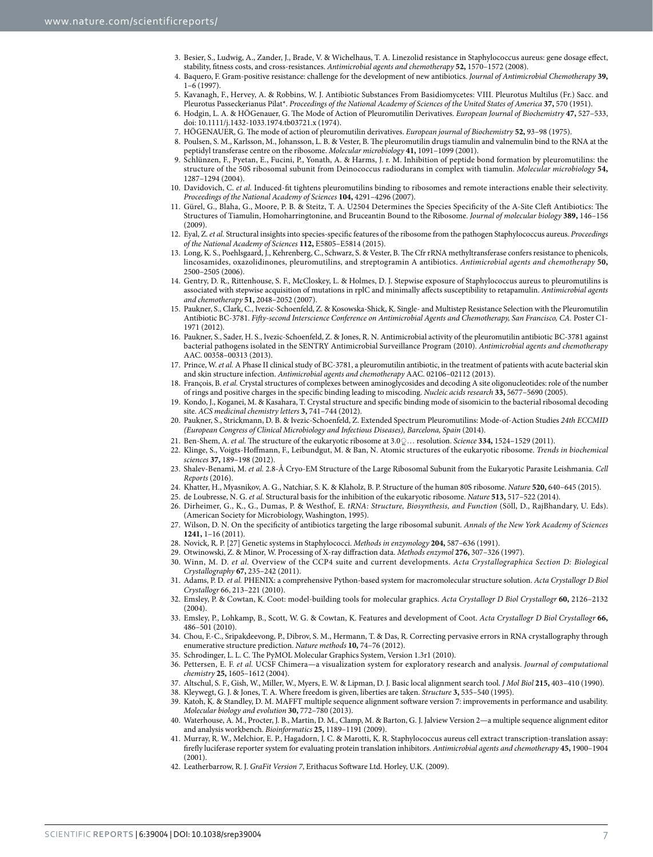- <span id="page-6-0"></span>3. Besier, S., Ludwig, A., Zander, J., Brade, V. & Wichelhaus, T. A. Linezolid resistance in Staphylococcus aureus: gene dosage effect, stability, fitness costs, and cross-resistances. *Antimicrobial agents and chemotherapy* **52,** 1570–1572 (2008).
- <span id="page-6-1"></span>4. Baquero, F. Gram-positive resistance: challenge for the development of new antibiotics. *Journal of Antimicrobial Chemotherapy* **39,** 1–6 (1997).
- <span id="page-6-2"></span>5. Kavanagh, F., Hervey, A. & Robbins, W. J. Antibiotic Substances From Basidiomycetes: VIII. Pleurotus Multilus (Fr.) Sacc. and Pleurotus Passeckerianus Pilat\*. *Proceedings of the National Academy of Sciences of the United States of America* **37,** 570 (1951).
- <span id="page-6-3"></span>6. Hodgin, L. A. & HÖGenauer, G. The Mode of Action of Pleuromutilin Derivatives. *European Journal of Biochemistry* **47,** 527–533, doi: 10.1111/j.1432-1033.1974.tb03721.x (1974).
- 7. HÖGENAUER, G. The mode of action of pleuromutilin derivatives. *European journal of Biochemistry* **52,** 93–98 (1975).
- 8. Poulsen, S. M., Karlsson, M., Johansson, L. B. & Vester, B. The pleuromutilin drugs tiamulin and valnemulin bind to the RNA at the peptidyl transferase centre on the ribosome. *Molecular microbiology* **41,** 1091–1099 (2001).
- <span id="page-6-4"></span>9. Schlünzen, F., Pyetan, E., Fucini, P., Yonath, A. & Harms, J. r. M. Inhibition of peptide bond formation by pleuromutilins: the structure of the 50S ribosomal subunit from Deinococcus radiodurans in complex with tiamulin. *Molecular microbiology* **54,** 1287–1294 (2004).
- <span id="page-6-5"></span>10. Davidovich, C. *et al.* Induced-fit tightens pleuromutilins binding to ribosomes and remote interactions enable their selectivity. *Proceedings of the National Academy of Sciences* **104,** 4291–4296 (2007).
- <span id="page-6-6"></span>11. Gürel, G., Blaha, G., Moore, P. B. & Steitz, T. A. U2504 Determines the Species Specificity of the A-Site Cleft Antibiotics: The Structures of Tiamulin, Homoharringtonine, and Bruceantin Bound to the Ribosome. *Journal of molecular biology* **389,** 146–156 (2009).
- <span id="page-6-7"></span>12. Eyal, Z. *et al.* Structural insights into species-specific features of the ribosome from the pathogen Staphylococcus aureus. *Proceedings of the National Academy of Sciences* **112,** E5805–E5814 (2015).
- <span id="page-6-8"></span>13. Long, K. S., Poehlsgaard, J., Kehrenberg, C., Schwarz, S. & Vester, B. The Cfr rRNA methyltransferase confers resistance to phenicols, lincosamides, oxazolidinones, pleuromutilins, and streptogramin A antibiotics. *Antimicrobial agents and chemotherapy* **50,** 2500–2505 (2006).
- <span id="page-6-9"></span>14. Gentry, D. R., Rittenhouse, S. F., McCloskey, L. & Holmes, D. J. Stepwise exposure of Staphylococcus aureus to pleuromutilins is associated with stepwise acquisition of mutations in rplC and minimally affects susceptibility to retapamulin. *Antimicrobial agents and chemotherapy* **51,** 2048–2052 (2007).
- <span id="page-6-10"></span>15. Paukner, S., Clark, C., Ivezic-Schoenfeld, Z. & Kosowska-Shick, K. Single- and Multistep Resistance Selection with the Pleuromutilin Antibiotic BC-3781. *Fifty-second Interscience Conference on Antimicrobial Agents and Chemotherapy, San Francisco, CA.* Poster C1- 1971 (2012).
- <span id="page-6-11"></span>16. Paukner, S., Sader, H. S., Ivezic-Schoenfeld, Z. & Jones, R. N. Antimicrobial activity of the pleuromutilin antibiotic BC-3781 against bacterial pathogens isolated in the SENTRY Antimicrobial Surveillance Program (2010). *Antimicrobial agents and chemotherapy* AAC. 00358–00313 (2013).
- <span id="page-6-12"></span>17. Prince, W. *et al.* A Phase II clinical study of BC-3781, a pleuromutilin antibiotic, in the treatment of patients with acute bacterial skin and skin structure infection. *Antimicrobial agents and chemotherapy* AAC. 02106–02112 (2013).
- <span id="page-6-13"></span>18. François, B. *et al.* Crystal structures of complexes between aminoglycosides and decoding A site oligonucleotides: role of the number of rings and positive charges in the specific binding leading to miscoding. *Nucleic acids research* **33,** 5677–5690 (2005).
- <span id="page-6-14"></span>19. Kondo, J., Koganei, M. & Kasahara, T. Crystal structure and specific binding mode of sisomicin to the bacterial ribosomal decoding site. *ACS medicinal chemistry letters* **3,** 741–744 (2012).
- <span id="page-6-15"></span>20. Paukner, S., Strickmann, D. B. & Ivezic-Schoenfeld, Z. Extended Spectrum Pleuromutilins: Mode-of-Action Studies *24th ECCMID (European Congress of Clinical Microbiology and Infectious Diseases), Barcelona, Spain* (2014).
- <span id="page-6-16"></span>21. Ben-Shem, A. *et al.* The structure of the eukaryotic ribosome at 3.0 ֳ◌… resolution. *Science* **334,** 1524–1529 (2011).
- <span id="page-6-17"></span>22. Klinge, S., Voigts-Hoffmann, F., Leibundgut, M. & Ban, N. Atomic structures of the eukaryotic ribosome. *Trends in biochemical sciences* **37,** 189–198 (2012).
- <span id="page-6-18"></span>23. Shalev-Benami, M. *et al.* 2.8-Å Cryo-EM Structure of the Large Ribosomal Subunit from the Eukaryotic Parasite Leishmania. *Cell Reports* (2016).
- <span id="page-6-19"></span>24. Khatter, H., Myasnikov, A. G., Natchiar, S. K. & Klaholz, B. P. Structure of the human 80S ribosome. *Nature* **520,** 640–645 (2015).
- <span id="page-6-20"></span>25. de Loubresse, N. G. *et al.* Structural basis for the inhibition of the eukaryotic ribosome. *Nature* **513,** 517–522 (2014).
- <span id="page-6-21"></span>26. Dirheimer, G., K., G., Dumas, P. & Westhof, E. *tRNA: Structure, Biosynthesis, and Function* (Söll, D., RajBhandary, U. Eds). (American Society for Microbiology, Washington, 1995).
- <span id="page-6-22"></span>27. Wilson, D. N. On the specificity of antibiotics targeting the large ribosomal subunit. *Annals of the New York Academy of Sciences* **1241,** 1–16 (2011).
- <span id="page-6-23"></span>28. Novick, R. P. [27] Genetic systems in Staphylococci. *Methods in enzymology* **204,** 587–636 (1991).
- <span id="page-6-24"></span>29. Otwinowski, Z. & Minor, W. Processing of X-ray diffraction data. *Methods enzymol* **276,** 307–326 (1997).
- <span id="page-6-25"></span>30. Winn, M. D. *et al.* Overview of the CCP4 suite and current developments. *Acta Crystallographica Section D: Biological Crystallography* **67,** 235–242 (2011).
- <span id="page-6-26"></span>31. Adams, P. D. *et al.* PHENIX: a comprehensive Python-based system for macromolecular structure solution. *Acta Crystallogr D Biol Crystallogr* 66, 213–221 (2010).
- <span id="page-6-27"></span>32. Emsley, P. & Cowtan, K. Coot: model-building tools for molecular graphics. *Acta Crystallogr D Biol Crystallogr* **60,** 2126–2132 (2004).
- <span id="page-6-28"></span>33. Emsley, P., Lohkamp, B., Scott, W. G. & Cowtan, K. Features and development of Coot. *Acta Crystallogr D Biol Crystallogr* **66,** 486–501 (2010).
- <span id="page-6-29"></span>34. Chou, F.-C., Sripakdeevong, P., Dibrov, S. M., Hermann, T. & Das, R. Correcting pervasive errors in RNA crystallography through enumerative structure prediction. *Nature methods* **10,** 74–76 (2012).
- <span id="page-6-30"></span>35. Schrodinger, L. L. C. The PyMOL Molecular Graphics System, Version 1.3r1 (2010).
- <span id="page-6-31"></span>36. Pettersen, E. F. *et al.* UCSF Chimera—a visualization system for exploratory research and analysis. *Journal of computational chemistry* **25,** 1605–1612 (2004).
- <span id="page-6-32"></span>37. Altschul, S. F., Gish, W., Miller, W., Myers, E. W. & Lipman, D. J. Basic local alignment search tool. *J Mol Biol* **215,** 403–410 (1990).
- <span id="page-6-34"></span><span id="page-6-33"></span>38. Kleywegt, G. J. & Jones, T. A. Where freedom is given, liberties are taken. *Structure* **3,** 535–540 (1995). Katoh, K. & Standley, D. M. MAFFT multiple sequence alignment software version 7: improvements in performance and usability.
- <span id="page-6-35"></span>*Molecular biology and evolution* **30,** 772–780 (2013). 40. Waterhouse, A. M., Procter, J. B., Martin, D. M., Clamp, M. & Barton, G. J. Jalview Version 2—a multiple sequence alignment editor
- <span id="page-6-36"></span>and analysis workbench. *Bioinformatics* **25,** 1189–1191 (2009). 41. Murray, R. W., Melchior, E. P., Hagadorn, J. C. & Marotti, K. R. Staphylococcus aureus cell extract transcription-translation assay: firefly luciferase reporter system for evaluating protein translation inhibitors. *Antimicrobial agents and chemotherapy* **45,** 1900–1904 (2001).
- <span id="page-6-37"></span>42. Leatherbarrow, R. J. *GraFit Version 7*, Erithacus Software Ltd. Horley, U.K. (2009).